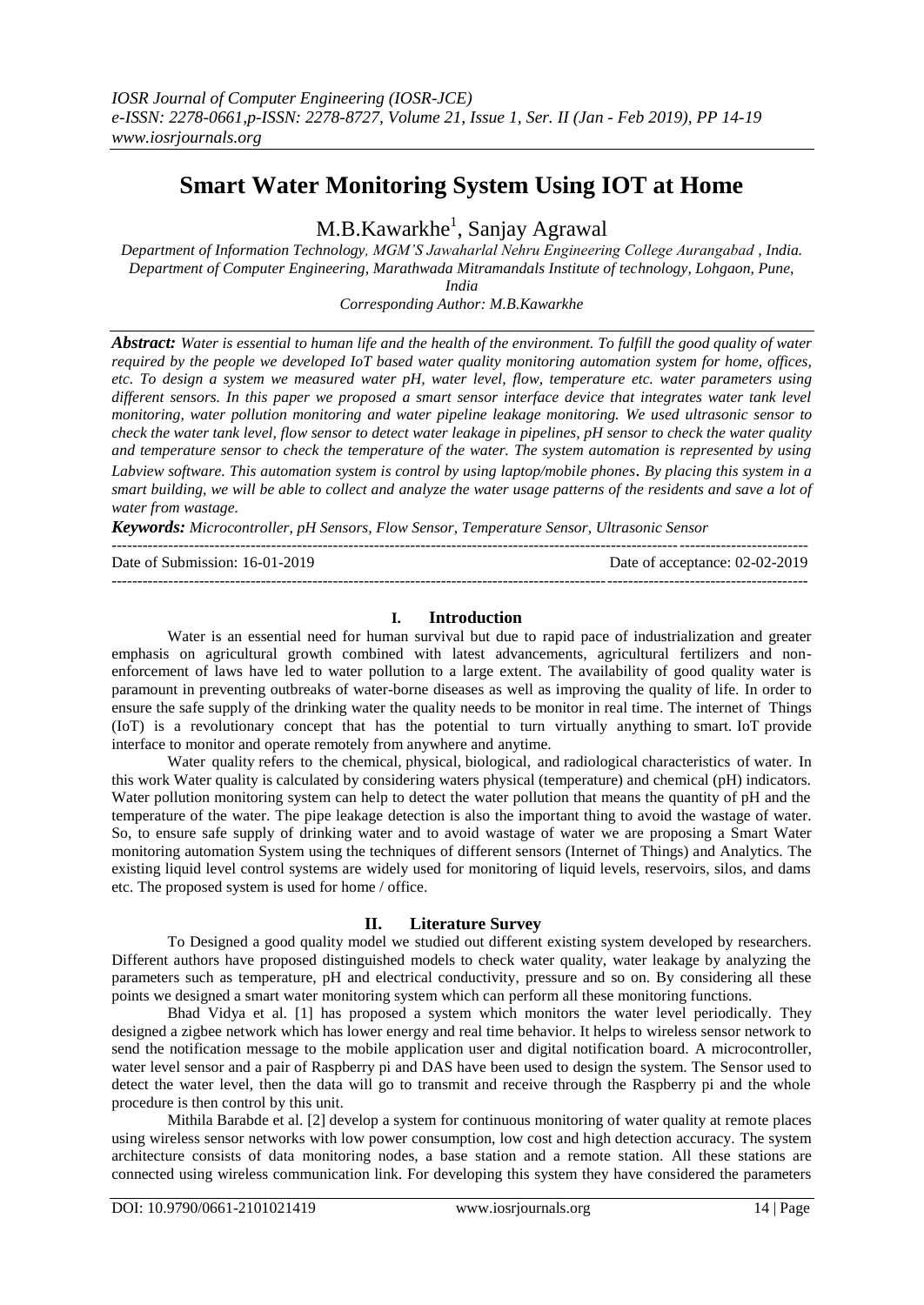# **Smart Water Monitoring System Using IOT at Home**

M.B.Kawarkhe<sup>1</sup>, Sanjay Agrawal

*Department of Information Technology, MGM'S Jawaharlal Nehru Engineering College Aurangabad , India. Department of Computer Engineering, Marathwada Mitramandals Institute of technology, Lohgaon, Pune,* 

*India Corresponding Author: M.B.Kawarkhe*

*Abstract: Water is essential to human life and the health of the environment. To fulfill the good quality of water required by the people we developed IoT based water quality monitoring automation system for home, offices, etc. To design a system we measured water pH, water level, flow, temperature etc. water parameters using different sensors. In this paper we proposed a smart sensor interface device that integrates water tank level monitoring, water pollution monitoring and water pipeline leakage monitoring. We used ultrasonic sensor to check the water tank level, flow sensor to detect water leakage in pipelines, pH sensor to check the water quality and temperature sensor to check the temperature of the water. The system automation is represented by using Labview software. This automation system is control by using laptop/mobile phones*. *By placing this system in a smart building, we will be able to collect and analyze the water usage patterns of the residents and save a lot of water from wastage.*

*Keywords: Microcontroller, pH Sensors, Flow Sensor, Temperature Sensor, Ultrasonic Sensor*

| Date of Submission: 16-01-2019 | Date of acceptance: 02-02-2019 |
|--------------------------------|--------------------------------|
|                                |                                |

## **I. Introduction**

Water is an essential need for human survival but due to rapid pace of industrialization and greater emphasis on agricultural growth combined with latest advancements, agricultural fertilizers and nonenforcement of laws have led to water pollution to a large extent. The availability of good quality water is paramount in preventing outbreaks of water-borne diseases as well as improving the quality of life. In order to ensure the safe supply of the drinking water the quality needs to be monitor in real time. The internet of Things (IoT) is a revolutionary concept that has the potential to turn virtually anything to smart. IoT provide interface to monitor and operate remotely from anywhere and anytime.

Water quality refers to the [chemical,](https://en.wikipedia.org/wiki/Chemical_property) [physical,](https://en.wikipedia.org/wiki/Physical_property) [biological,](https://en.wikipedia.org/wiki/Biology) and [radiological](https://en.wikipedia.org/wiki/Radiological) characteristics of [water.](https://en.wikipedia.org/wiki/Water) In this work Water quality is calculated by considering waters physical (temperature) and chemical (pH) indicators. Water pollution monitoring system can help to detect the water pollution that means the quantity of pH and the temperature of the water. The pipe leakage detection is also the important thing to avoid the wastage of water. So, to ensure safe supply of drinking water and to avoid wastage of water we are proposing a Smart Water monitoring automation System using the techniques of different sensors (Internet of Things) and Analytics. The existing liquid level control systems are widely used for monitoring of liquid levels, reservoirs, silos, and dams etc. The proposed system is used for home / office.

#### **II. Literature Survey**

To Designed a good quality model we studied out different existing system developed by researchers. Different authors have proposed distinguished models to check water quality, water leakage by analyzing the parameters such as temperature, pH and electrical conductivity, pressure and so on. By considering all these points we designed a smart water monitoring system which can perform all these monitoring functions.

Bhad Vidya et al. [1] has proposed a system which monitors the water level periodically. They designed a zigbee network which has lower energy and real time behavior. It helps to wireless sensor network to send the notification message to the mobile application user and digital notification board. A microcontroller, water level sensor and a pair of Raspberry pi and DAS have been used to design the system. The Sensor used to detect the water level, then the data will go to transmit and receive through the Raspberry pi and the whole procedure is then control by this unit.

Mithila Barabde et al. [2] develop a system for continuous monitoring of water quality at remote places using wireless sensor networks with low power consumption, low cost and high detection accuracy. The system architecture consists of data monitoring nodes, a base station and a remote station. All these stations are connected using wireless communication link. For developing this system they have considered the parameters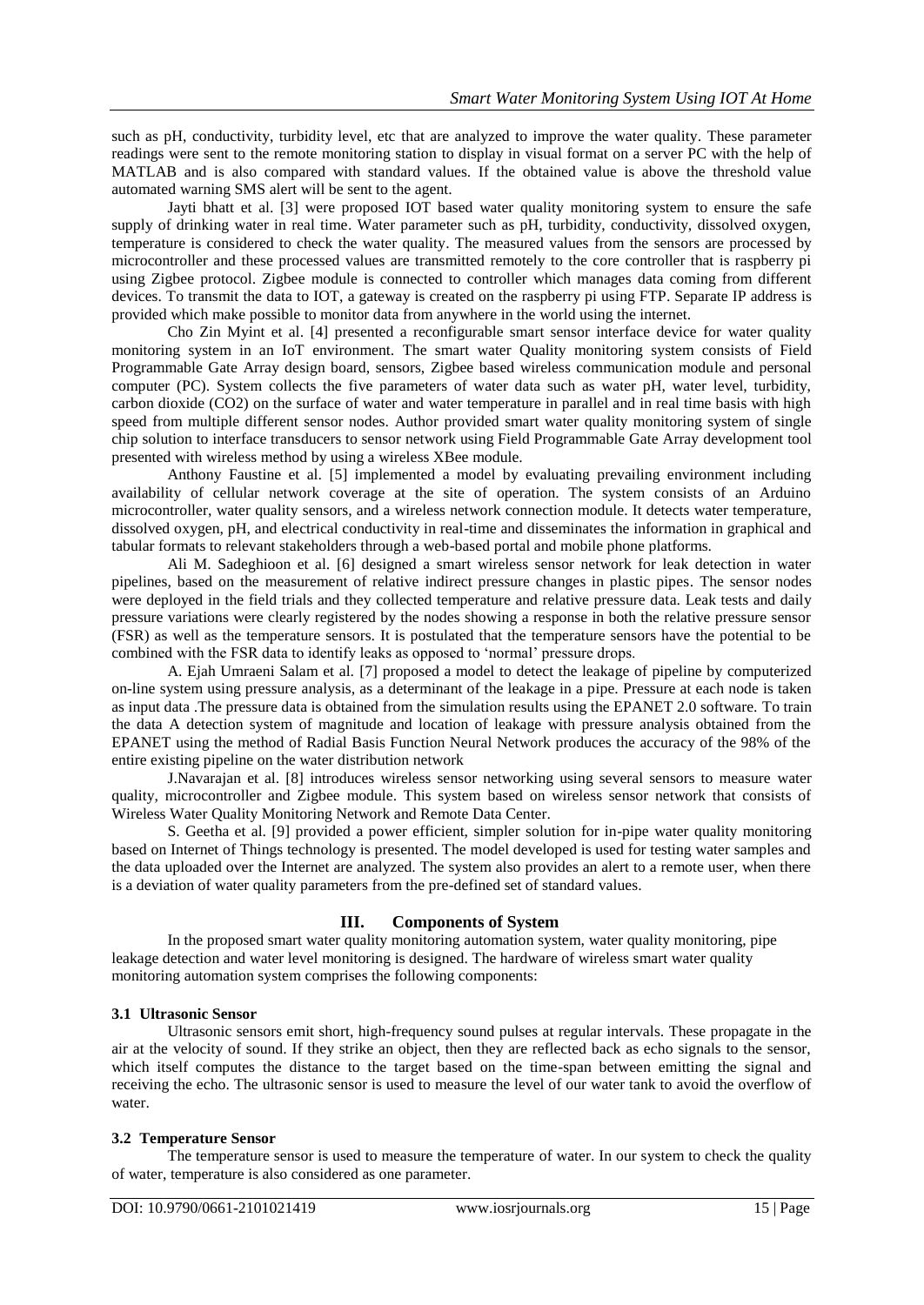such as pH, conductivity, turbidity level, etc that are analyzed to improve the water quality. These parameter readings were sent to the remote monitoring station to display in visual format on a server PC with the help of MATLAB and is also compared with standard values. If the obtained value is above the threshold value automated warning SMS alert will be sent to the agent.

Jayti bhatt et al. [3] were proposed IOT based water quality monitoring system to ensure the safe supply of drinking water in real time. Water parameter such as pH, turbidity, conductivity, dissolved oxygen, temperature is considered to check the water quality. The measured values from the sensors are processed by microcontroller and these processed values are transmitted remotely to the core controller that is raspberry pi using Zigbee protocol. Zigbee module is connected to controller which manages data coming from different devices. To transmit the data to IOT, a gateway is created on the raspberry pi using FTP. Separate IP address is provided which make possible to monitor data from anywhere in the world using the internet.

Cho Zin Myint et al. [4] presented a reconfigurable smart sensor interface device for water quality monitoring system in an IoT environment. The smart water Quality monitoring system consists of Field Programmable Gate Array design board, sensors, Zigbee based wireless communication module and personal computer (PC). System collects the five parameters of water data such as water pH, water level, turbidity, carbon dioxide (CO2) on the surface of water and water temperature in parallel and in real time basis with high speed from multiple different sensor nodes. Author provided smart water quality monitoring system of single chip solution to interface transducers to sensor network using Field Programmable Gate Array development tool presented with wireless method by using a wireless XBee module.

Anthony Faustine et al. [5] implemented a model by evaluating prevailing environment including availability of cellular network coverage at the site of operation. The system consists of an Arduino microcontroller, water quality sensors, and a wireless network connection module. It detects water temperature, dissolved oxygen, pH, and electrical conductivity in real-time and disseminates the information in graphical and tabular formats to relevant stakeholders through a web-based portal and mobile phone platforms.

Ali M. Sadeghioon et al. [6] designed a smart wireless sensor network for leak detection in water pipelines, based on the measurement of relative indirect pressure changes in plastic pipes. The sensor nodes were deployed in the field trials and they collected temperature and relative pressure data. Leak tests and daily pressure variations were clearly registered by the nodes showing a response in both the relative pressure sensor (FSR) as well as the temperature sensors. It is postulated that the temperature sensors have the potential to be combined with the FSR data to identify leaks as opposed to "normal" pressure drops.

A. Ejah Umraeni Salam et al. [7] proposed a model to detect the leakage of pipeline by computerized on-line system using pressure analysis, as a determinant of the leakage in a pipe. Pressure at each node is taken as input data .The pressure data is obtained from the simulation results using the EPANET 2.0 software. To train the data A detection system of magnitude and location of leakage with pressure analysis obtained from the EPANET using the method of Radial Basis Function Neural Network produces the accuracy of the 98% of the entire existing pipeline on the water distribution network

J.Navarajan et al. [8] introduces wireless sensor networking using several sensors to measure water quality, microcontroller and Zigbee module. This system based on wireless sensor network that consists of Wireless Water Quality Monitoring Network and Remote Data Center.

S. Geetha et al. [9] provided a power efficient, simpler solution for in-pipe water quality monitoring based on Internet of Things technology is presented. The model developed is used for testing water samples and the data uploaded over the Internet are analyzed. The system also provides an alert to a remote user, when there is a deviation of water quality parameters from the pre-defined set of standard values.

#### **III. Components of System**

In the proposed smart water quality monitoring automation system, water quality monitoring, pipe leakage detection and water level monitoring is designed. The hardware of wireless smart water quality monitoring automation system comprises the following components:

#### **3.1 Ultrasonic Sensor**

Ultrasonic sensors emit short, high-frequency sound pulses at regular intervals. These propagate in the air at the velocity of sound. If they strike an object, then they are reflected back as echo signals to the sensor, which itself computes the distance to the target based on the time-span between emitting the signal and receiving the echo. The ultrasonic sensor is used to measure the level of our water tank to avoid the overflow of water.

#### **3.2 Temperature Sensor**

The temperature sensor is used to measure the temperature of water. In our system to check the quality of water, temperature is also considered as one parameter.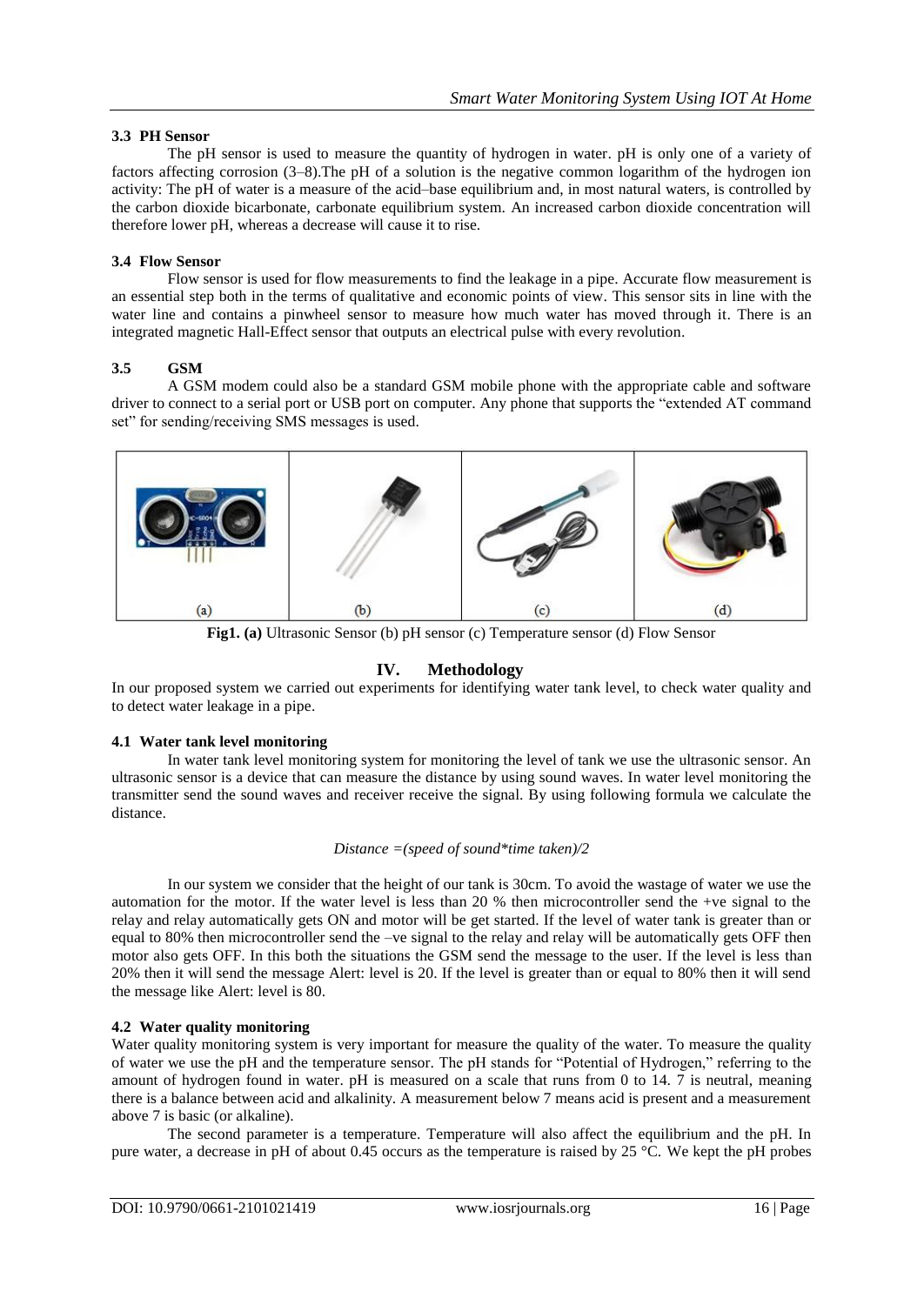#### **3.3 PH Sensor**

The pH sensor is used to measure the quantity of hydrogen in water. pH is only one of a variety of factors affecting corrosion (3–8).The pH of a solution is the negative common logarithm of the hydrogen ion activity: The pH of water is a measure of the acid–base equilibrium and, in most natural waters, is controlled by the carbon dioxide bicarbonate, carbonate equilibrium system. An increased carbon dioxide concentration will therefore lower pH, whereas a decrease will cause it to rise.

## **3.4 Flow Sensor**

 Flow sensor is used for flow measurements to find the leakage in a pipe. Accurate flow measurement is an essential step both in the terms of qualitative and economic points of view. This sensor sits in line with the water line and contains a pinwheel sensor to measure how much water has moved through it. There is an integrated magnetic Hall-Effect sensor that outputs an electrical pulse with every revolution.

## **3.5 GSM**

A GSM modem could also be a standard GSM mobile phone with the appropriate cable and software driver to connect to a serial port or USB port on computer. Any phone that supports the "extended AT command set" for sending/receiving SMS messages is used.



**Fig1. (a)** Ultrasonic Sensor (b) pH sensor (c) Temperature sensor (d) Flow Sensor

## **IV. Methodology**

In our proposed system we carried out experiments for identifying water tank level, to check water quality and to detect water leakage in a pipe.

#### **4.1 Water tank level monitoring**

In water tank level monitoring system for monitoring the level of tank we use the ultrasonic sensor. An ultrasonic sensor is a device that can measure the distance by using sound waves. In water level monitoring the transmitter send the sound waves and receiver receive the signal. By using following formula we calculate the distance.

#### *Distance =(speed of sound\*time taken)/2*

In our system we consider that the height of our tank is 30cm. To avoid the wastage of water we use the automation for the motor. If the water level is less than 20 % then microcontroller send the +ve signal to the relay and relay automatically gets ON and motor will be get started. If the level of water tank is greater than or equal to 80% then microcontroller send the –ve signal to the relay and relay will be automatically gets OFF then motor also gets OFF. In this both the situations the GSM send the message to the user. If the level is less than 20% then it will send the message Alert: level is 20. If the level is greater than or equal to 80% then it will send the message like Alert: level is 80.

#### **4.2 Water quality monitoring**

Water quality monitoring system is very important for measure the quality of the water. To measure the quality of water we use the pH and the temperature sensor. The pH stands for "Potential of Hydrogen," referring to the amount of hydrogen found in water. pH is measured on a scale that runs from 0 to 14. 7 is neutral, meaning there is a balance between acid and alkalinity. A measurement below 7 means acid is present and a measurement above 7 is basic (or alkaline).

The second parameter is a temperature. Temperature will also affect the equilibrium and the pH. In pure water, a decrease in pH of about 0.45 occurs as the temperature is raised by 25 °C. We kept the pH probes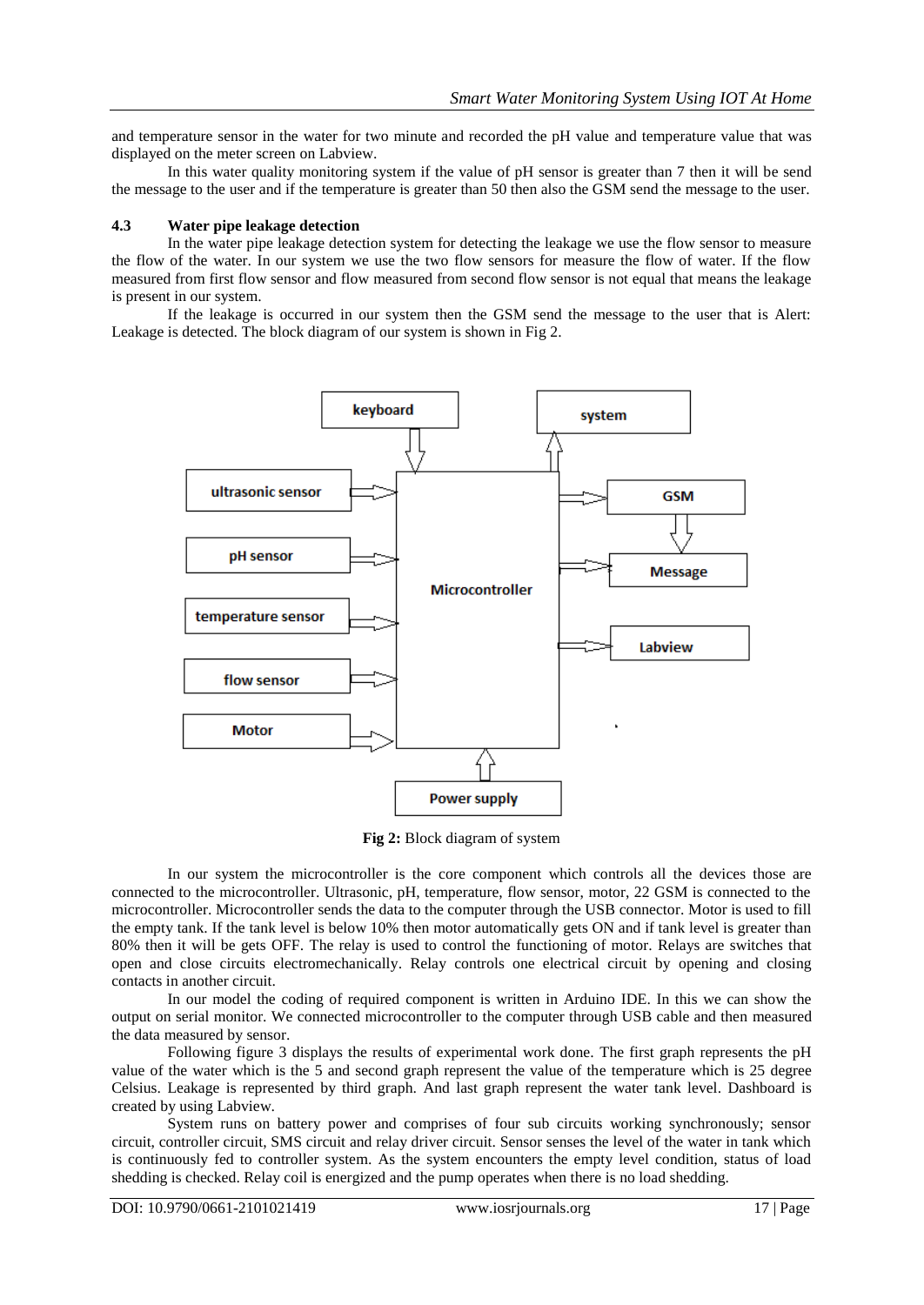and temperature sensor in the water for two minute and recorded the pH value and temperature value that was displayed on the meter screen on Labview.

In this water quality monitoring system if the value of pH sensor is greater than 7 then it will be send the message to the user and if the temperature is greater than 50 then also the GSM send the message to the user.

#### **4.3 Water pipe leakage detection**

In the water pipe leakage detection system for detecting the leakage we use the flow sensor to measure the flow of the water. In our system we use the two flow sensors for measure the flow of water. If the flow measured from first flow sensor and flow measured from second flow sensor is not equal that means the leakage is present in our system.

If the leakage is occurred in our system then the GSM send the message to the user that is Alert: Leakage is detected. The block diagram of our system is shown in Fig 2.



**Fig 2:** Block diagram of system

In our system the microcontroller is the core component which controls all the devices those are connected to the microcontroller. Ultrasonic, pH, temperature, flow sensor, motor, 22 GSM is connected to the microcontroller. Microcontroller sends the data to the computer through the USB connector. Motor is used to fill the empty tank. If the tank level is below 10% then motor automatically gets ON and if tank level is greater than 80% then it will be gets OFF. The relay is used to control the functioning of motor. Relays are switches that open and close circuits electromechanically. Relay controls one electrical circuit by opening and closing contacts in another circuit.

In our model the coding of required component is written in Arduino IDE. In this we can show the output on serial monitor. We connected microcontroller to the computer through USB cable and then measured the data measured by sensor.

Following figure 3 displays the results of experimental work done. The first graph represents the pH value of the water which is the 5 and second graph represent the value of the temperature which is 25 degree Celsius. Leakage is represented by third graph. And last graph represent the water tank level. Dashboard is created by using Labview.

System runs on battery power and comprises of four sub circuits working synchronously; sensor circuit, controller circuit, SMS circuit and relay driver circuit. Sensor senses the level of the water in tank which is continuously fed to controller system. As the system encounters the empty level condition, status of load shedding is checked. Relay coil is energized and the pump operates when there is no load shedding.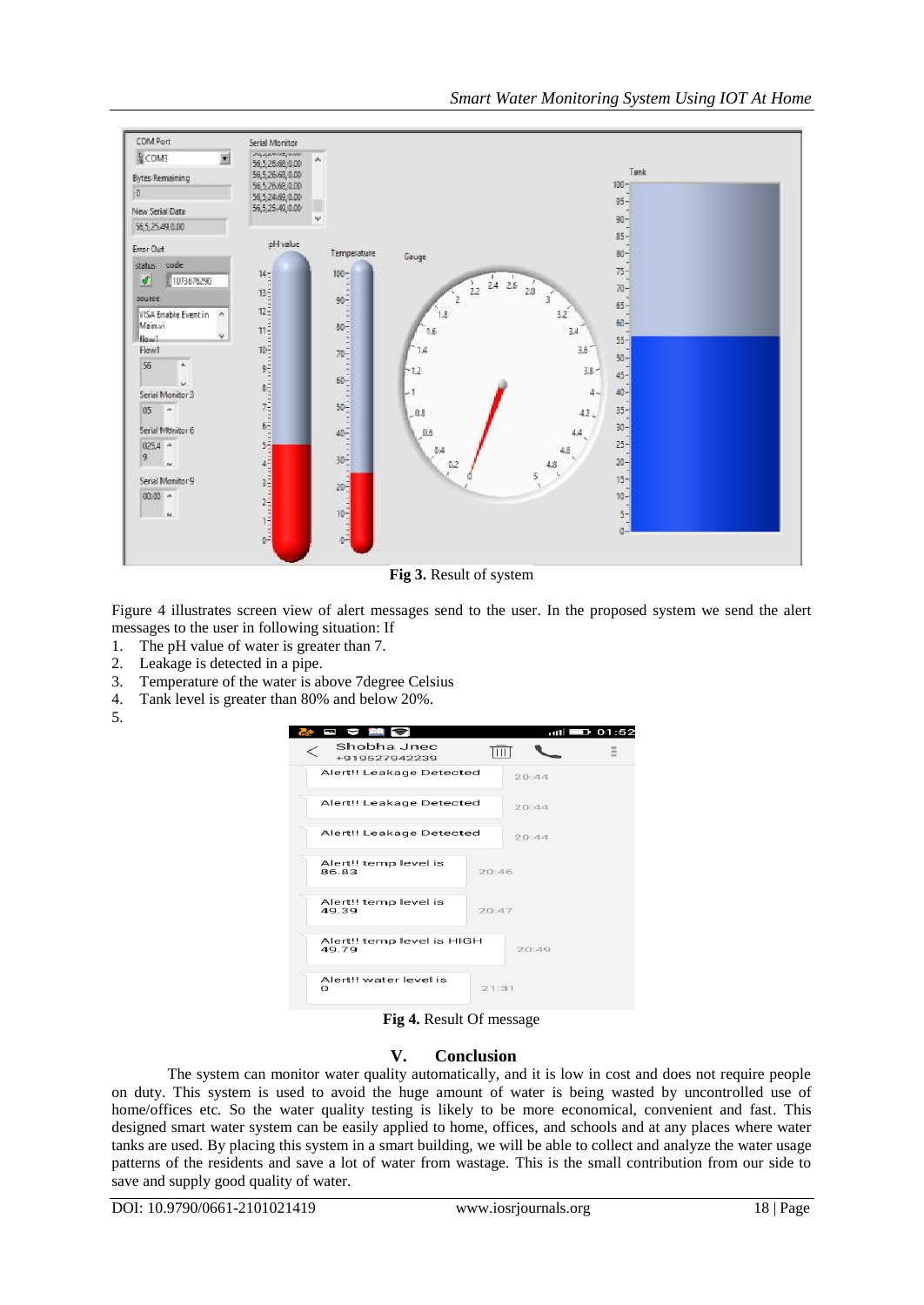

**Fig 3.** Result of system

Figure 4 illustrates screen view of alert messages send to the user. In the proposed system we send the alert messages to the user in following situation: If

- 1. The pH value of water is greater than 7.
- 2. Leakage is detected in a pipe.
- 3. Temperature of the water is above 7degree Celsius
- 4. Tank level is greater than 80% and below 20%.
- 5.

| 日 2 開 今<br>Shobha Jnec<br>+919527942239 |       | $m  $ $\blacksquare$ 01:52 |  |
|-----------------------------------------|-------|----------------------------|--|
| Alert!! Leakage Detected                |       | 20:44                      |  |
| Alert!! Leakage Detected                |       | 20:44                      |  |
| Alert!! Leakage Detected                |       | 20:44                      |  |
| Alert!! temp level is<br>86.83          | 20:46 |                            |  |
| Alert!! temp level is<br>49.39          | 20:47 |                            |  |
| Alert!! temp level is HIGH<br>49.79     |       | 20:49                      |  |
| Alert!! water level is<br>n             | 21:31 |                            |  |

**Fig 4.** Result Of message

#### **V. Conclusion**

The system can monitor water quality automatically, and it is low in cost and does not require people on duty. This system is used to avoid the huge amount of water is being wasted by uncontrolled use of home/offices etc. So the water quality testing is likely to be more economical, convenient and fast. This designed smart water system can be easily applied to home, offices, and schools and at any places where water tanks are used. By placing this system in a smart building, we will be able to collect and analyze the water usage patterns of the residents and save a lot of water from wastage. This is the small contribution from our side to save and supply good quality of water.